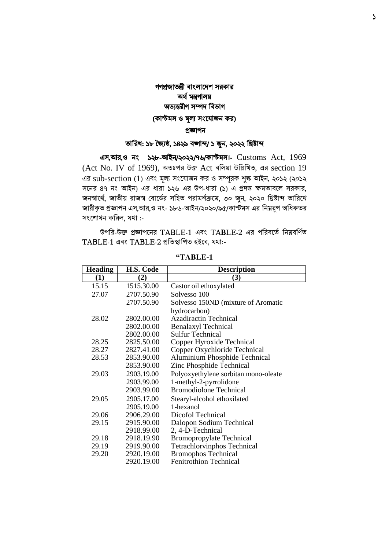## গণপ্রজাতন্ত্রী বাংলাদেশ সরকার অর্ থমন্ত্রণালয় অভ্যন্তরীণ সম্পে ববভ্াগ (কাস্টমস ও মূল্য সংযোজন কর) প্রজ্ঞাপন

## তাবরখ: ১৮ জ্যৈষ্ঠ, ১৪২৯ বঙ্গাব্দ/ ১ জুন, ২০২২ বিষ্টাব্দ

এস,আর,ও নাং ১২৮-আইন/২০২২/৭৬/কাস্টমস।- Customs Act, 1969 (Act No. IV of 1969), অতঃপর উক্ত Act ববলয়া উবিবখত, এর section 19 এর sub-section (1) এবং মূল্য সংযোজন কর ও সম্পূরক শুল্ক আইন, ২০১২ (২০১২ সদনর ৪৭ নাং আইন) এর ধারা ১২৬ এর উপ-ধারা (১) এ প্রেত্ত ক্ষমতাবদল সরকার, জনস্বার্থে, জাতীয় রাজস্ব বোর্ডের সহিত পরামর্শক্রমে, ৩০ জুন, ২০২০ খ্রিষ্টাব্দ তারিখে জারীকৃত প্রজ্ঞাপন এস,আর,ও নং- ১৮৬-আইন/২০২০/৯৫/কাস্টমস এর নিম্নরূপ অধিকতর সংশোধন করিল, যথা :-

উপরর-উক্ত প্রজ্ঞাপখনর TABLE-1 এবং TABLE-2 এর পররবখতেরনম্নবরণতে  $TABLE-1$  এবং  $TABLE-2$  প্রতিস্থাপিত হইবে, যথা:-

| <b>Heading</b> | H.S. Code  | <b>Description</b>                   |
|----------------|------------|--------------------------------------|
| (1)            | (2)        | (3)                                  |
| 15.15          | 1515.30.00 | Castor oil ethoxylated               |
| 27.07          | 2707.50.90 | Solvesso 100                         |
|                | 2707.50.90 | Solvesso 150ND (mixture of Aromatic  |
|                |            | hydrocarbon)                         |
| 28.02          | 2802.00.00 | <b>Azadiractin Technical</b>         |
|                | 2802.00.00 | <b>Benalaxyl Technical</b>           |
|                | 2802.00.00 | <b>Sulfur Technical</b>              |
| 28.25          | 2825.50.00 | Copper Hyroxide Technical            |
| 28.27          | 2827.41.00 | Copper Oxychloride Technical         |
| 28.53          | 2853.90.00 | Aluminium Phosphide Technical        |
|                | 2853.90.00 | Zinc Phosphide Technical             |
| 29.03          | 2903.19.00 | Polyoxyethylene sorbitan mono-oleate |
|                | 2903.99.00 | 1-methyl-2-pyrrolidone               |
|                | 2903.99.00 | <b>Bromodiolone Technical</b>        |
| 29.05          | 2905.17.00 | Stearyl-alcohol ethoxilated          |
|                | 2905.19.00 | 1-hexanol                            |
| 29.06          | 2906.29.00 | Dicofol Technical                    |
| 29.15          | 2915.90.00 | Dalopon Sodium Technical             |
|                | 2918.99.00 | 2, 4-D-Technical                     |
| 29.18          | 2918.19.90 | <b>Bromopropylate Technical</b>      |
| 29.19          | 2919.90.00 | <b>Tetrachlorvinphos Technical</b>   |
| 29.20          | 2920.19.00 | <b>Bromophos Technical</b>           |
|                | 2920.19.00 | <b>Fenitrothion Technical</b>        |

**"TABLE-1**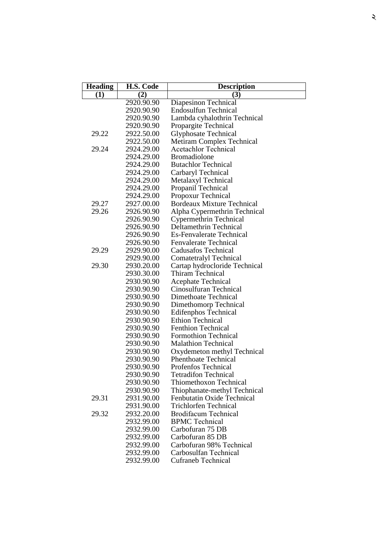| <b>Heading</b> | H.S. Code                | <b>Description</b>                           |
|----------------|--------------------------|----------------------------------------------|
| (1)            | (2)                      | (3)                                          |
|                | 2920.90.90               | <b>Diapesinon Technical</b>                  |
|                | 2920.90.90               | <b>Endosulfun Technical</b>                  |
|                | 2920.90.90               | Lambda cyhalothrin Technical                 |
|                | 2920.90.90               | Propargite Technical                         |
| 29.22          | 2922.50.00               | <b>Glyphosate Technical</b>                  |
|                | 2922.50.00               | Metiram Complex Technical                    |
| 29.24          | 2924.29.00               | <b>Acetachlor Technical</b>                  |
|                | 2924.29.00               | <b>Bromadiolone</b>                          |
|                | 2924.29.00               | <b>Butachlor Technical</b>                   |
|                | 2924.29.00               | Carbaryl Technical                           |
|                | 2924.29.00               | Metalaxyl Technical                          |
|                | 2924.29.00               | Propanil Technical                           |
|                | 2924.29.00               | Propoxur Technical                           |
| 29.27          | 2927.00.00               | <b>Bordeaux Mixture Technical</b>            |
| 29.26          | 2926.90.90               | Alpha Cypermethrin Technical                 |
|                | 2926.90.90               | Cypermethrin Technical                       |
|                | 2926.90.90               | Deltamethrin Technical                       |
|                | 2926.90.90               | <b>Es-Fenvalerate Technical</b>              |
|                | 2926.90.90               | <b>Fenvalerate Technical</b>                 |
| 29.29          | 2929.90.00               | <b>Cadusafos Technical</b>                   |
|                | 2929.90.00               | Comatetralyl Technical                       |
| 29.30          | 2930.20.00               | Cartap hydrocloride Technical                |
|                | 2930.30.00               | Thiram Technical                             |
|                | 2930.90.90               | <b>Acephate Technical</b>                    |
|                | 2930.90.90               | Cinosulfuran Technical                       |
|                | 2930.90.90               | Dimethoate Technical                         |
|                | 2930.90.90               | Dimethomorp Technical                        |
|                | 2930.90.90               | <b>Edifenphos Technical</b>                  |
|                | 2930.90.90               | <b>Ethion Technical</b>                      |
|                | 2930.90.90               | <b>Fenthion Technical</b>                    |
|                | 2930.90.90               | <b>Formothion Technical</b>                  |
|                | 2930.90.90               | <b>Malathion Technical</b>                   |
|                | 2930.90.90               | Oxydemeton methyl Technical                  |
|                | 2930.90.90               | <b>Phenthoate Technical</b>                  |
|                | 2930.90.90               | Profenfos Technical                          |
|                | 2930.90.90               | <b>Tetradifon Technical</b>                  |
|                | 2930.90.90               | <b>Thiomethoxon Technical</b>                |
|                | 2930.90.90               | Thiophanate-methyl Technical                 |
| 29.31          | 2931.90.00               | Fenbutatin Oxide Technical                   |
|                | 2931.90.00               | <b>Trichlorfen Technical</b>                 |
| 29.32          | 2932.20.00               | <b>Brodifacum Technical</b>                  |
|                | 2932.99.00               | <b>BPMC</b> Technical<br>Carbofuran 75 DB    |
|                | 2932.99.00               |                                              |
|                | 2932.99.00               | Carbofuran 85 DB<br>Carbofuran 98% Technical |
|                | 2932.99.00               | Carbosulfan Technical                        |
|                | 2932.99.00<br>2932.99.00 | <b>Cufraneb Technical</b>                    |
|                |                          |                                              |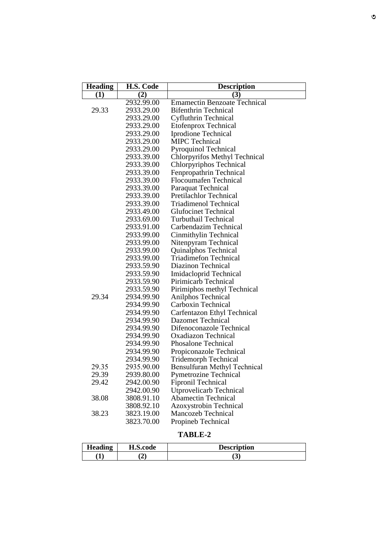| <b>Heading</b> | H.S. Code  | <b>Description</b>                  |
|----------------|------------|-------------------------------------|
| $\bf(1)$       | (2)        | (3)                                 |
|                | 2932.99.00 | <b>Emamectin Benzoate Technical</b> |
| 29.33          | 2933.29.00 | <b>Bifenthrin Technical</b>         |
|                | 2933.29.00 | Cyfluthrin Technical                |
|                | 2933.29.00 | <b>Etofenprox Technical</b>         |
|                | 2933.29.00 | Iprodione Technical                 |
|                | 2933.29.00 | <b>MIPC Technical</b>               |
|                | 2933.29.00 | <b>Pyroquinol Technical</b>         |
|                | 2933.39.00 | Chlorpyrifos Methyl Technical       |
|                | 2933.39.00 | Chlorpyriphos Technical             |
|                | 2933.39.00 | Fenpropathrin Technical             |
|                | 2933.39.00 | <b>Flocoumafen Technical</b>        |
|                | 2933.39.00 | Paraquat Technical                  |
|                | 2933.39.00 | Pretilachlor Technical              |
|                | 2933.39.00 | <b>Triadimenol Technical</b>        |
|                | 2933.49.00 | <b>Glufocinet Technical</b>         |
|                | 2933.69.00 | <b>Turbuthail Technical</b>         |
|                | 2933.91.00 | Carbendazim Technical               |
|                | 2933.99.00 | Cinmithylin Technical               |
|                | 2933.99.00 | Nitenpyram Technical                |
|                | 2933.99.00 | Quinalphos Technical                |
|                | 2933.99.00 | <b>Triadimefon Technical</b>        |
|                | 2933.59.90 | Diazinon Technical                  |
|                | 2933.59.90 | <b>Imidacloprid Technical</b>       |
|                | 2933.59.90 | Pirimicarb Technical                |
|                | 2933.59.90 | Pirimiphos methyl Technical         |
| 29.34          | 2934.99.90 | Anilphos Technical                  |
|                | 2934.99.90 | Carboxin Technical                  |
|                | 2934.99.90 | Carfentazon Ethyl Technical         |
|                | 2934.99.90 | <b>Dazomet Technical</b>            |
|                | 2934.99.90 | Difenoconazole Technical            |
|                | 2934.99.90 | <b>Oxadiazon Technical</b>          |
|                | 2934.99.90 | <b>Phosalone Technical</b>          |
|                | 2934.99.90 | Propiconazole Technical             |
|                | 2934.99.90 | Tridemorph Technical                |
| 29.35          | 2935.90.00 | Bensulfuran Methyl Technical        |
| 29.39          | 2939.80.00 | <b>Pymetrozine Technical</b>        |
| 29.42          | 2942.00.90 | <b>Fipronil Technical</b>           |
|                | 2942.00.90 | <b>Utprovelicarb Technical</b>      |
| 38.08          | 3808.91.10 | <b>Abamectin Technical</b>          |
|                | 3808.92.10 | <b>Azoxystrobin Technical</b>       |
| 38.23          | 3823.19.00 | <b>Mancozeb Technical</b>           |
|                | 3823.70.00 | Propineb Technical                  |

## **TABLE - 2**

| Heading | H.S.code    | <b>Description</b> |
|---------|-------------|--------------------|
|         | $\sim$<br>◢ | ັ                  |